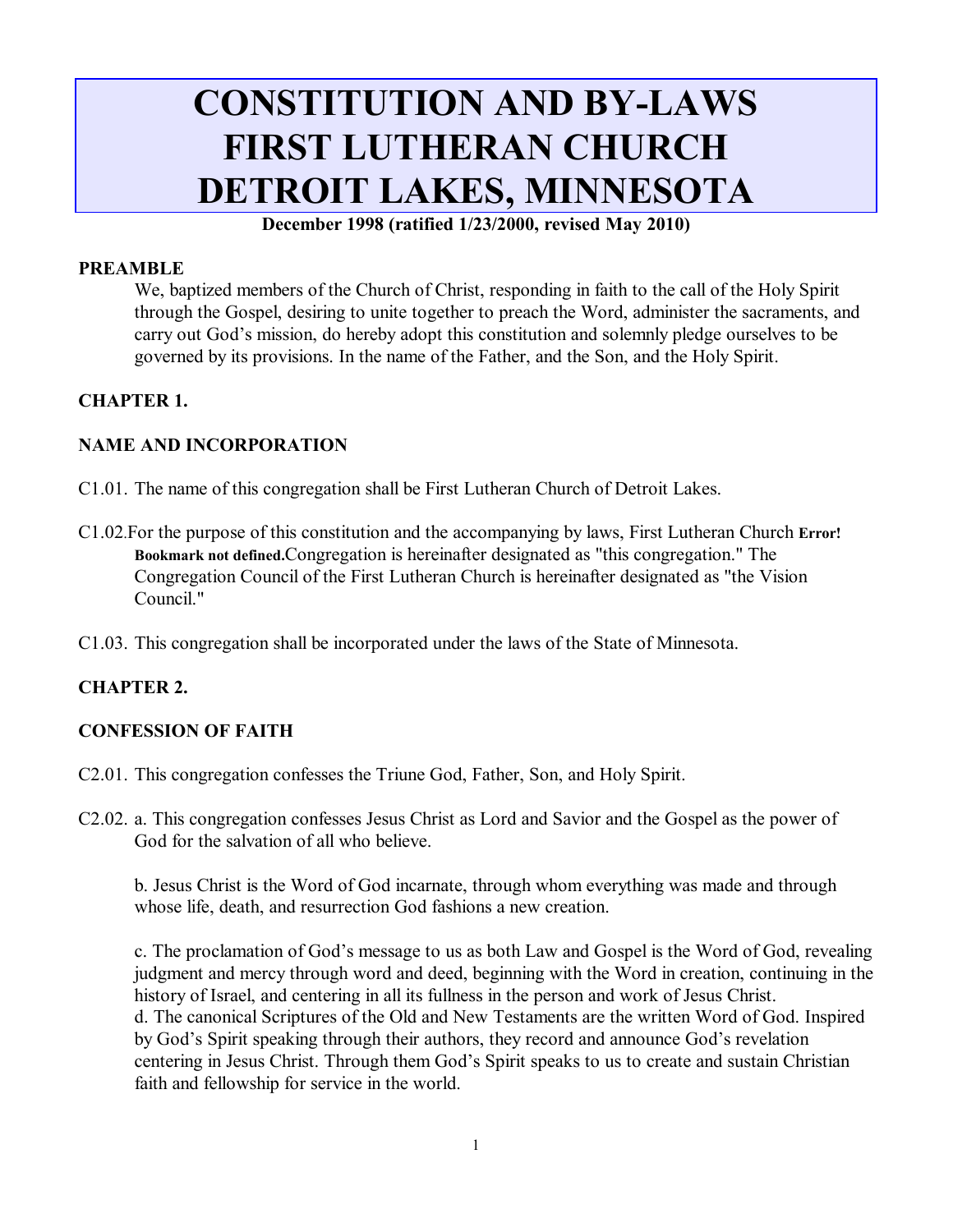# **CONSTITUTION AND BY-LAWS FIRST LUTHERAN CHURCH DETROIT LAKES, MINNESOTA**

**December 1998 (ratified 1/23/2000, revised May 2010)**

#### **PREAMBLE**

We, baptized members of the Church of Christ, responding in faith to the call of the Holy Spirit through the Gospel, desiring to unite together to preach the Word, administer the sacraments, and carry out God's mission, do hereby adopt this constitution and solemnly pledge ourselves to be governed by its provisions. In the name of the Father, and the Son, and the Holy Spirit.

#### **CHAPTER 1.**

#### **NAME AND INCORPORATION**

- C1.01. The name of this congregation shall be First Lutheran Church of Detroit Lakes.
- C1.02.For the purpose of this constitution and the accompanying by laws, First Lutheran Church **Error! Bookmark not defined.**Congregation is hereinafter designated as "this congregation." The Congregation Council of the First Lutheran Church is hereinafter designated as "the Vision Council."
- C1.03. This congregation shall be incorporated under the laws of the State of Minnesota.

#### **CHAPTER 2.**

#### **CONFESSION OF FAITH**

- C2.01. This congregation confesses the Triune God, Father, Son, and Holy Spirit.
- C2.02. a. This congregation confesses Jesus Christ as Lord and Savior and the Gospel as the power of God for the salvation of all who believe.

b. Jesus Christ is the Word of God incarnate, through whom everything was made and through whose life, death, and resurrection God fashions a new creation.

c. The proclamation of God's message to us as both Law and Gospel is the Word of God, revealing judgment and mercy through word and deed, beginning with the Word in creation, continuing in the history of Israel, and centering in all its fullness in the person and work of Jesus Christ. d. The canonical Scriptures of the Old and New Testaments are the written Word of God. Inspired by God's Spirit speaking through their authors, they record and announce God's revelation centering in Jesus Christ. Through them God's Spirit speaks to us to create and sustain Christian faith and fellowship for service in the world.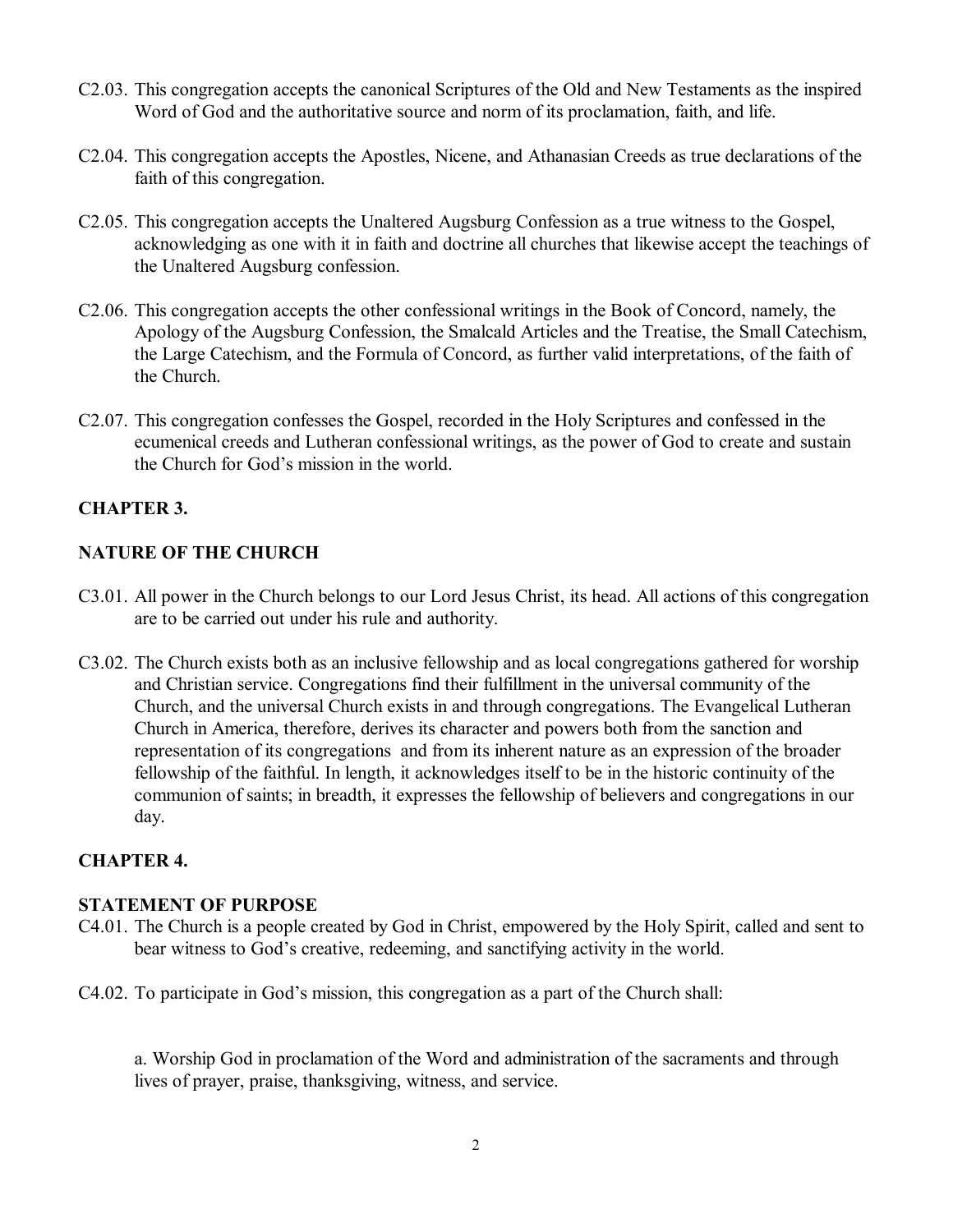- C2.03. This congregation accepts the canonical Scriptures of the Old and New Testaments as the inspired Word of God and the authoritative source and norm of its proclamation, faith, and life.
- C2.04. This congregation accepts the Apostles, Nicene, and Athanasian Creeds as true declarations of the faith of this congregation.
- C2.05. This congregation accepts the Unaltered Augsburg Confession as a true witness to the Gospel, acknowledging as one with it in faith and doctrine all churches that likewise accept the teachings of the Unaltered Augsburg confession.
- C2.06. This congregation accepts the other confessional writings in the Book of Concord, namely, the Apology of the Augsburg Confession, the Smalcald Articles and the Treatise, the Small Catechism, the Large Catechism, and the Formula of Concord, as further valid interpretations, of the faith of the Church.
- C2.07. This congregation confesses the Gospel, recorded in the Holy Scriptures and confessed in the ecumenical creeds and Lutheran confessional writings, as the power of God to create and sustain the Church for God's mission in the world.

## **CHAPTER 3.**

## **NATURE OF THE CHURCH**

- C3.01. All power in the Church belongs to our Lord Jesus Christ, its head. All actions of this congregation are to be carried out under his rule and authority.
- C3.02. The Church exists both as an inclusive fellowship and as local congregations gathered for worship and Christian service. Congregations find their fulfillment in the universal community of the Church, and the universal Church exists in and through congregations. The Evangelical Lutheran Church in America, therefore, derives its character and powers both from the sanction and representation of its congregations and from its inherent nature as an expression of the broader fellowship of the faithful. In length, it acknowledges itself to be in the historic continuity of the communion of saints; in breadth, it expresses the fellowship of believers and congregations in our day.

## **CHAPTER 4.**

#### **STATEMENT OF PURPOSE**

- C4.01. The Church is a people created by God in Christ, empowered by the Holy Spirit, called and sent to bear witness to God's creative, redeeming, and sanctifying activity in the world.
- C4.02. To participate in God's mission, this congregation as a part of the Church shall:

a. Worship God in proclamation of the Word and administration of the sacraments and through lives of prayer, praise, thanksgiving, witness, and service.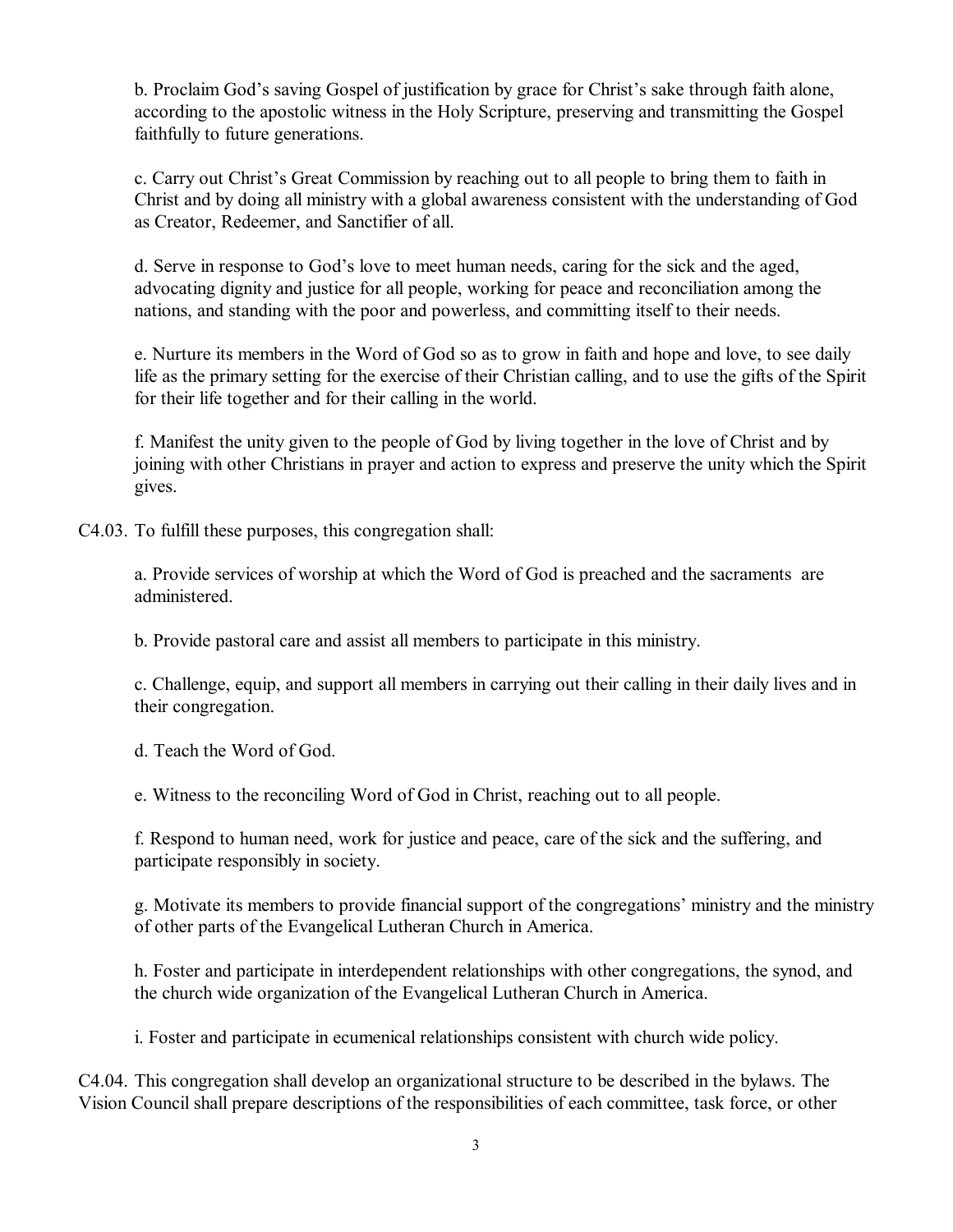b. Proclaim God's saving Gospel of justification by grace for Christ's sake through faith alone, according to the apostolic witness in the Holy Scripture, preserving and transmitting the Gospel faithfully to future generations.

c. Carry out Christ's Great Commission by reaching out to all people to bring them to faith in Christ and by doing all ministry with a global awareness consistent with the understanding of God as Creator, Redeemer, and Sanctifier of all.

d. Serve in response to God's love to meet human needs, caring for the sick and the aged, advocating dignity and justice for all people, working for peace and reconciliation among the nations, and standing with the poor and powerless, and committing itself to their needs.

e. Nurture its members in the Word of God so as to grow in faith and hope and love, to see daily life as the primary setting for the exercise of their Christian calling, and to use the gifts of the Spirit for their life together and for their calling in the world.

f. Manifest the unity given to the people of God by living together in the love of Christ and by joining with other Christians in prayer and action to express and preserve the unity which the Spirit gives.

C4.03. To fulfill these purposes, this congregation shall:

a. Provide services of worship at which the Word of God is preached and the sacraments are administered.

b. Provide pastoral care and assist all members to participate in this ministry.

c. Challenge, equip, and support all members in carrying out their calling in their daily lives and in their congregation.

d. Teach the Word of God.

e. Witness to the reconciling Word of God in Christ, reaching out to all people.

f. Respond to human need, work for justice and peace, care of the sick and the suffering, and participate responsibly in society.

g. Motivate its members to provide financial support of the congregations' ministry and the ministry of other parts of the Evangelical Lutheran Church in America.

h. Foster and participate in interdependent relationships with other congregations, the synod, and the church wide organization of the Evangelical Lutheran Church in America.

i. Foster and participate in ecumenical relationships consistent with church wide policy.

C4.04. This congregation shall develop an organizational structure to be described in the bylaws. The Vision Council shall prepare descriptions of the responsibilities of each committee, task force, or other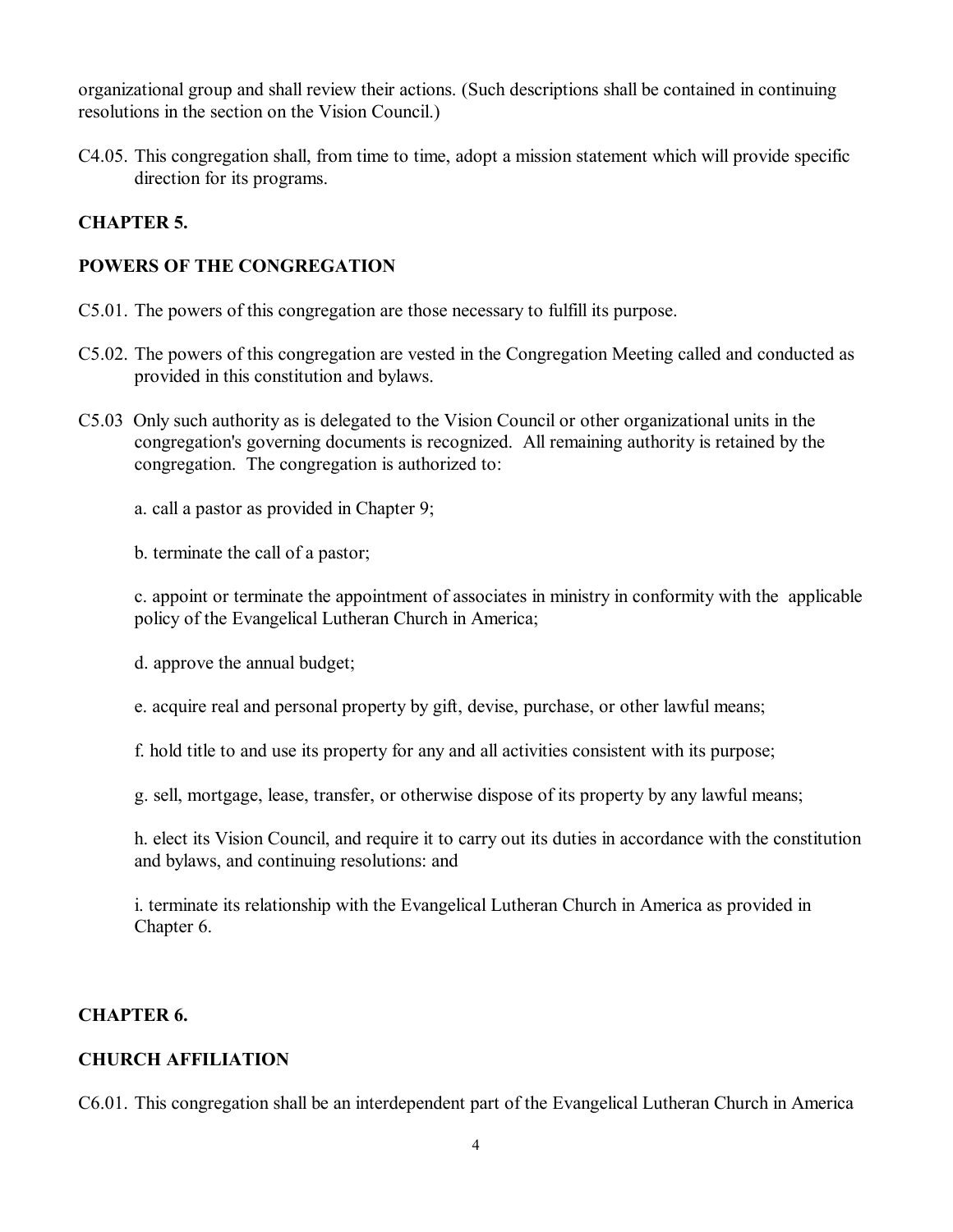organizational group and shall review their actions. (Such descriptions shall be contained in continuing resolutions in the section on the Vision Council.)

C4.05. This congregation shall, from time to time, adopt a mission statement which will provide specific direction for its programs.

## **CHAPTER 5.**

## **POWERS OF THE CONGREGATION**

- C5.01. The powers of this congregation are those necessary to fulfill its purpose.
- C5.02. The powers of this congregation are vested in the Congregation Meeting called and conducted as provided in this constitution and bylaws.
- C5.03 Only such authority as is delegated to the Vision Council or other organizational units in the congregation's governing documents is recognized. All remaining authority is retained by the congregation. The congregation is authorized to:

a. call a pastor as provided in Chapter 9;

b. terminate the call of a pastor;

c. appoint or terminate the appointment of associates in ministry in conformity with the applicable policy of the Evangelical Lutheran Church in America;

d. approve the annual budget;

e. acquire real and personal property by gift, devise, purchase, or other lawful means;

f. hold title to and use its property for any and all activities consistent with its purpose;

g. sell, mortgage, lease, transfer, or otherwise dispose of its property by any lawful means;

h. elect its Vision Council, and require it to carry out its duties in accordance with the constitution and bylaws, and continuing resolutions: and

i. terminate its relationship with the Evangelical Lutheran Church in America as provided in Chapter 6.

#### **CHAPTER 6.**

## **CHURCH AFFILIATION**

C6.01. This congregation shall be an interdependent part of the Evangelical Lutheran Church in America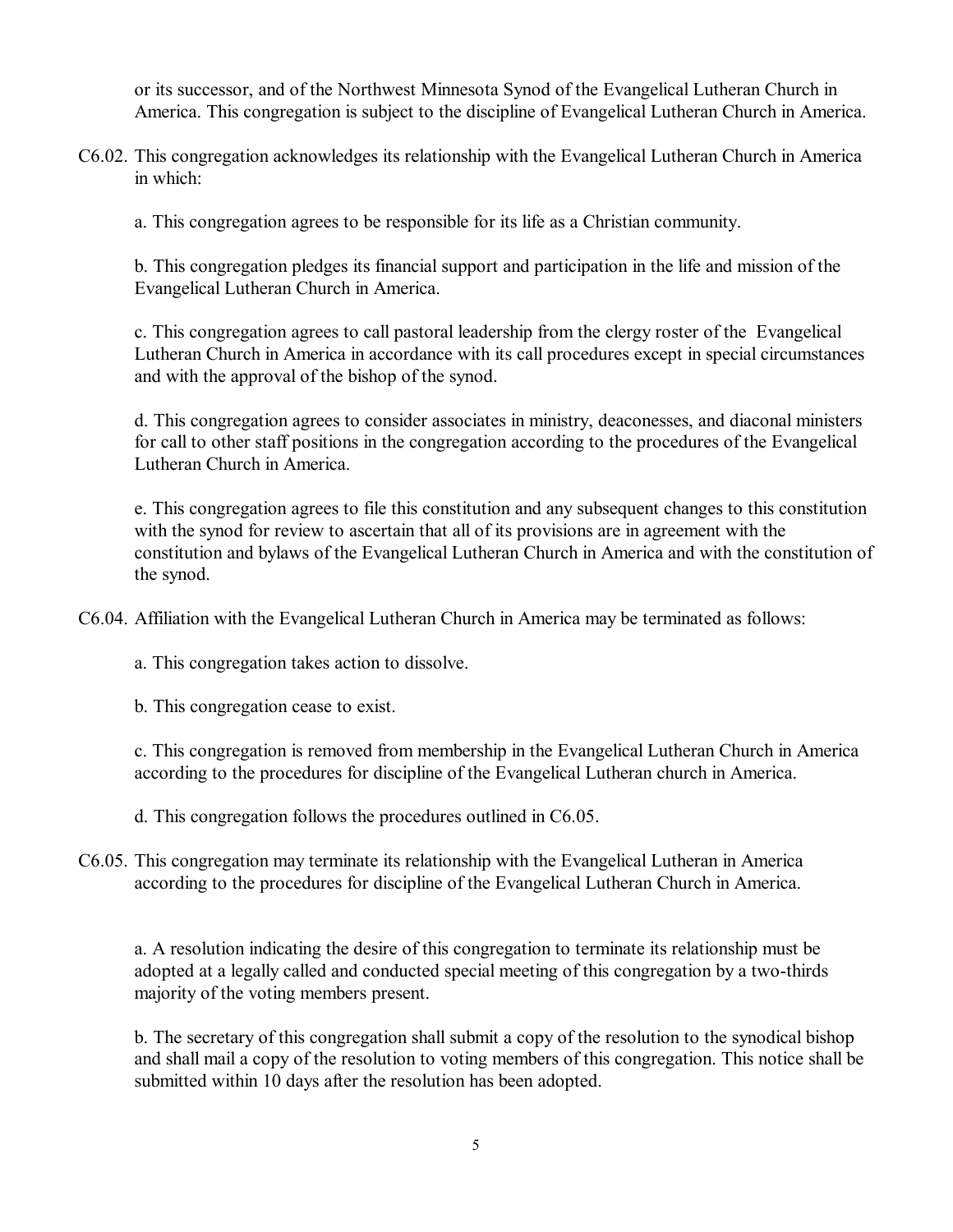or its successor, and of the Northwest Minnesota Synod of the Evangelical Lutheran Church in America. This congregation is subject to the discipline of Evangelical Lutheran Church in America.

C6.02. This congregation acknowledges its relationship with the Evangelical Lutheran Church in America in which:

a. This congregation agrees to be responsible for its life as a Christian community.

b. This congregation pledges its financial support and participation in the life and mission of the Evangelical Lutheran Church in America.

c. This congregation agrees to call pastoral leadership from the clergy roster of the Evangelical Lutheran Church in America in accordance with its call procedures except in special circumstances and with the approval of the bishop of the synod.

d. This congregation agrees to consider associates in ministry, deaconesses, and diaconal ministers for call to other staff positions in the congregation according to the procedures of the Evangelical Lutheran Church in America.

e. This congregation agrees to file this constitution and any subsequent changes to this constitution with the synod for review to ascertain that all of its provisions are in agreement with the constitution and bylaws of the Evangelical Lutheran Church in America and with the constitution of the synod.

C6.04. Affiliation with the Evangelical Lutheran Church in America may be terminated as follows:

a. This congregation takes action to dissolve.

b. This congregation cease to exist.

c. This congregation is removed from membership in the Evangelical Lutheran Church in America according to the procedures for discipline of the Evangelical Lutheran church in America.

d. This congregation follows the procedures outlined in C6.05.

C6.05. This congregation may terminate its relationship with the Evangelical Lutheran in America according to the procedures for discipline of the Evangelical Lutheran Church in America.

a. A resolution indicating the desire of this congregation to terminate its relationship must be adopted at a legally called and conducted special meeting of this congregation by a two-thirds majority of the voting members present.

b. The secretary of this congregation shall submit a copy of the resolution to the synodical bishop and shall mail a copy of the resolution to voting members of this congregation. This notice shall be submitted within 10 days after the resolution has been adopted.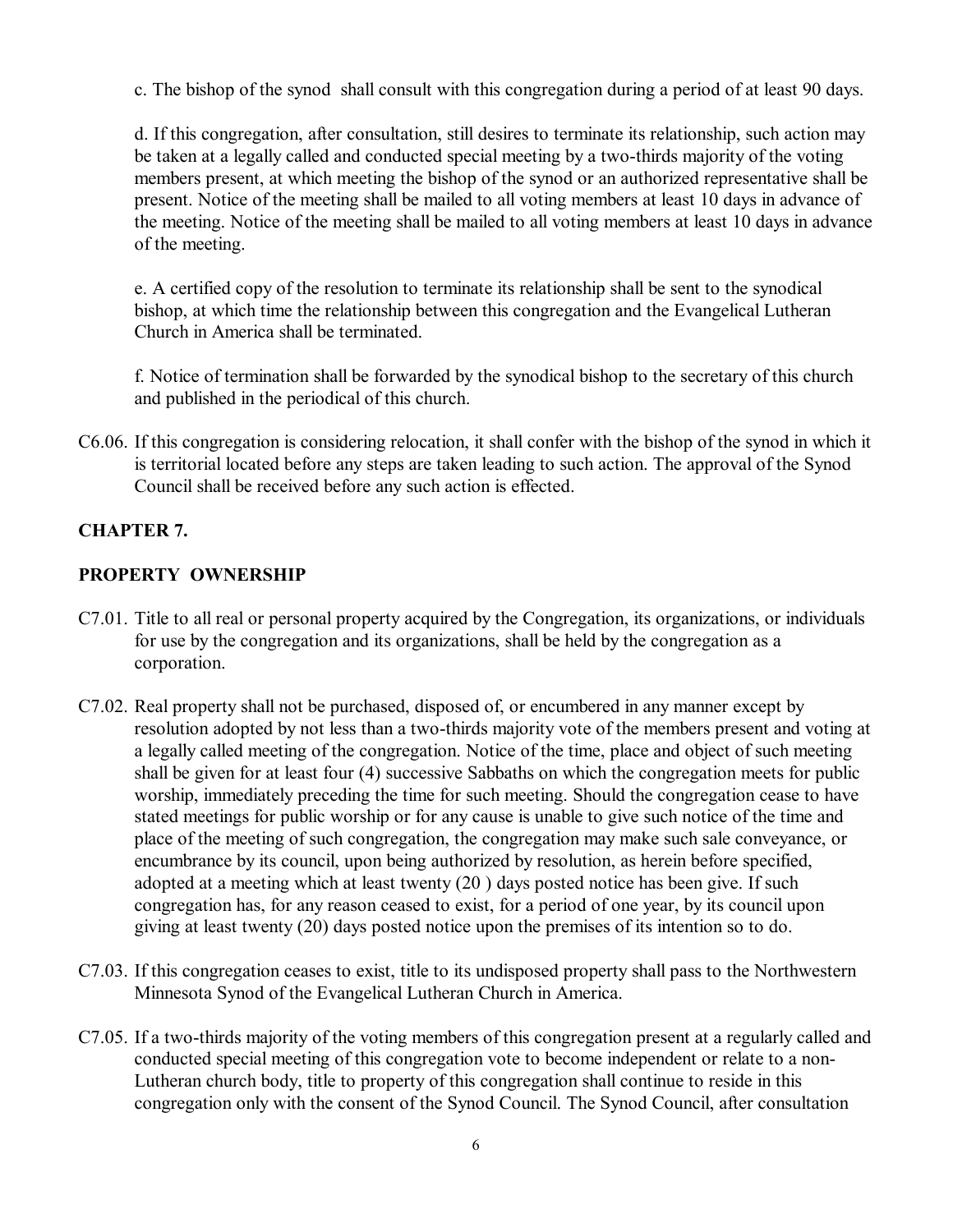c. The bishop of the synod shall consult with this congregation during a period of at least 90 days.

d. If this congregation, after consultation, still desires to terminate its relationship, such action may be taken at a legally called and conducted special meeting by a two-thirds majority of the voting members present, at which meeting the bishop of the synod or an authorized representative shall be present. Notice of the meeting shall be mailed to all voting members at least 10 days in advance of the meeting. Notice of the meeting shall be mailed to all voting members at least 10 days in advance of the meeting.

e. A certified copy of the resolution to terminate its relationship shall be sent to the synodical bishop, at which time the relationship between this congregation and the Evangelical Lutheran Church in America shall be terminated.

f. Notice of termination shall be forwarded by the synodical bishop to the secretary of this church and published in the periodical of this church.

C6.06. If this congregation is considering relocation, it shall confer with the bishop of the synod in which it is territorial located before any steps are taken leading to such action. The approval of the Synod Council shall be received before any such action is effected.

## **CHAPTER 7.**

## **PROPERTY OWNERSHIP**

- C7.01. Title to all real or personal property acquired by the Congregation, its organizations, or individuals for use by the congregation and its organizations, shall be held by the congregation as a corporation.
- C7.02. Real property shall not be purchased, disposed of, or encumbered in any manner except by resolution adopted by not less than a two-thirds majority vote of the members present and voting at a legally called meeting of the congregation. Notice of the time, place and object of such meeting shall be given for at least four (4) successive Sabbaths on which the congregation meets for public worship, immediately preceding the time for such meeting. Should the congregation cease to have stated meetings for public worship or for any cause is unable to give such notice of the time and place of the meeting of such congregation, the congregation may make such sale conveyance, or encumbrance by its council, upon being authorized by resolution, as herein before specified, adopted at a meeting which at least twenty (20 ) days posted notice has been give. If such congregation has, for any reason ceased to exist, for a period of one year, by its council upon giving at least twenty (20) days posted notice upon the premises of its intention so to do.
- C7.03. If this congregation ceases to exist, title to its undisposed property shall pass to the Northwestern Minnesota Synod of the Evangelical Lutheran Church in America.
- C7.05. If a two-thirds majority of the voting members of this congregation present at a regularly called and conducted special meeting of this congregation vote to become independent or relate to a non-Lutheran church body, title to property of this congregation shall continue to reside in this congregation only with the consent of the Synod Council. The Synod Council, after consultation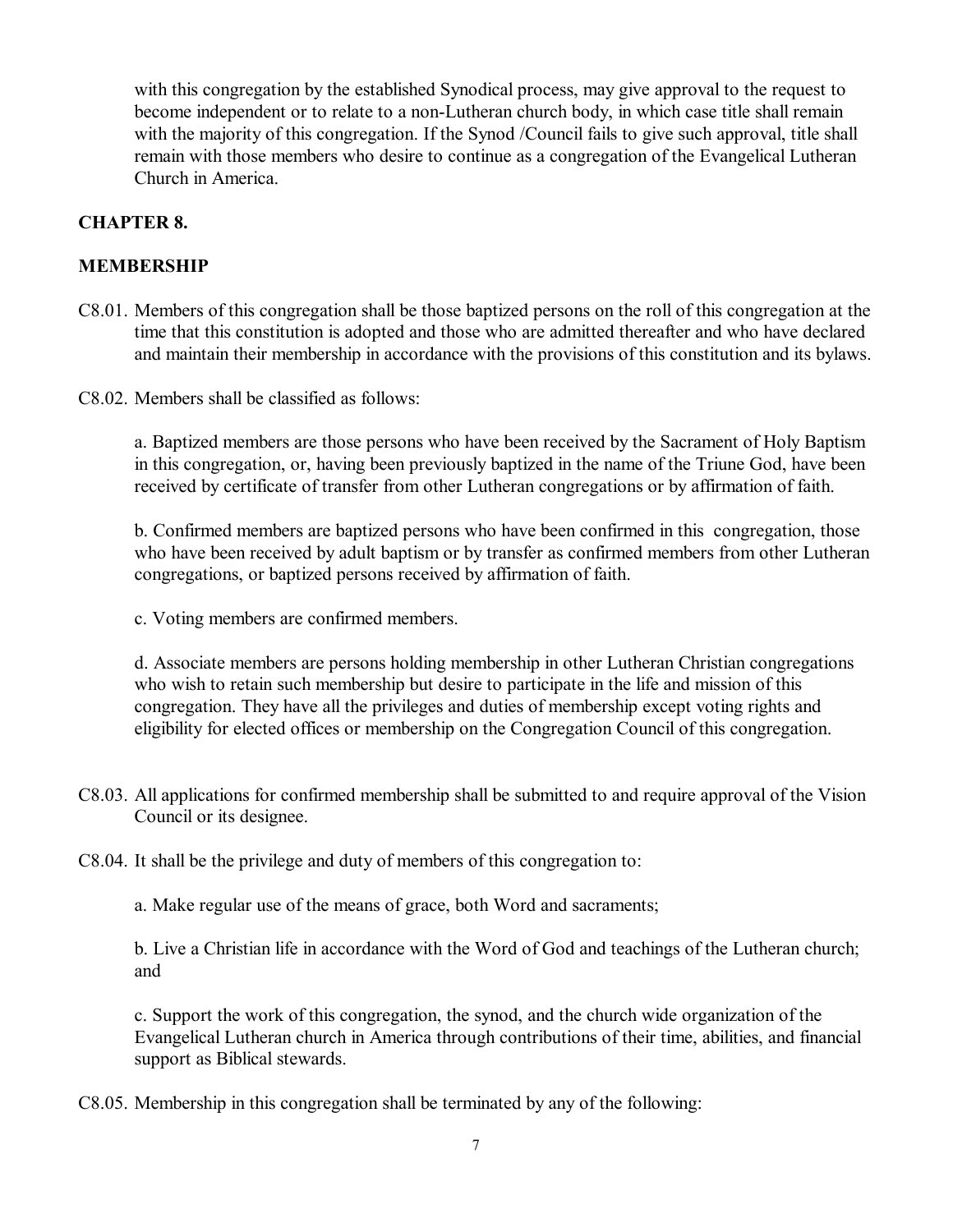with this congregation by the established Synodical process, may give approval to the request to become independent or to relate to a non-Lutheran church body, in which case title shall remain with the majority of this congregation. If the Synod /Council fails to give such approval, title shall remain with those members who desire to continue as a congregation of the Evangelical Lutheran Church in America.

## **CHAPTER 8.**

## **MEMBERSHIP**

- C8.01. Members of this congregation shall be those baptized persons on the roll of this congregation at the time that this constitution is adopted and those who are admitted thereafter and who have declared and maintain their membership in accordance with the provisions of this constitution and its bylaws.
- C8.02. Members shall be classified as follows:

a. Baptized members are those persons who have been received by the Sacrament of Holy Baptism in this congregation, or, having been previously baptized in the name of the Triune God, have been received by certificate of transfer from other Lutheran congregations or by affirmation of faith.

b. Confirmed members are baptized persons who have been confirmed in this congregation, those who have been received by adult baptism or by transfer as confirmed members from other Lutheran congregations, or baptized persons received by affirmation of faith.

c. Voting members are confirmed members.

d. Associate members are persons holding membership in other Lutheran Christian congregations who wish to retain such membership but desire to participate in the life and mission of this congregation. They have all the privileges and duties of membership except voting rights and eligibility for elected offices or membership on the Congregation Council of this congregation.

- C8.03. All applications for confirmed membership shall be submitted to and require approval of the Vision Council or its designee.
- C8.04. It shall be the privilege and duty of members of this congregation to:

a. Make regular use of the means of grace, both Word and sacraments;

b. Live a Christian life in accordance with the Word of God and teachings of the Lutheran church; and

c. Support the work of this congregation, the synod, and the church wide organization of the Evangelical Lutheran church in America through contributions of their time, abilities, and financial support as Biblical stewards.

C8.05. Membership in this congregation shall be terminated by any of the following: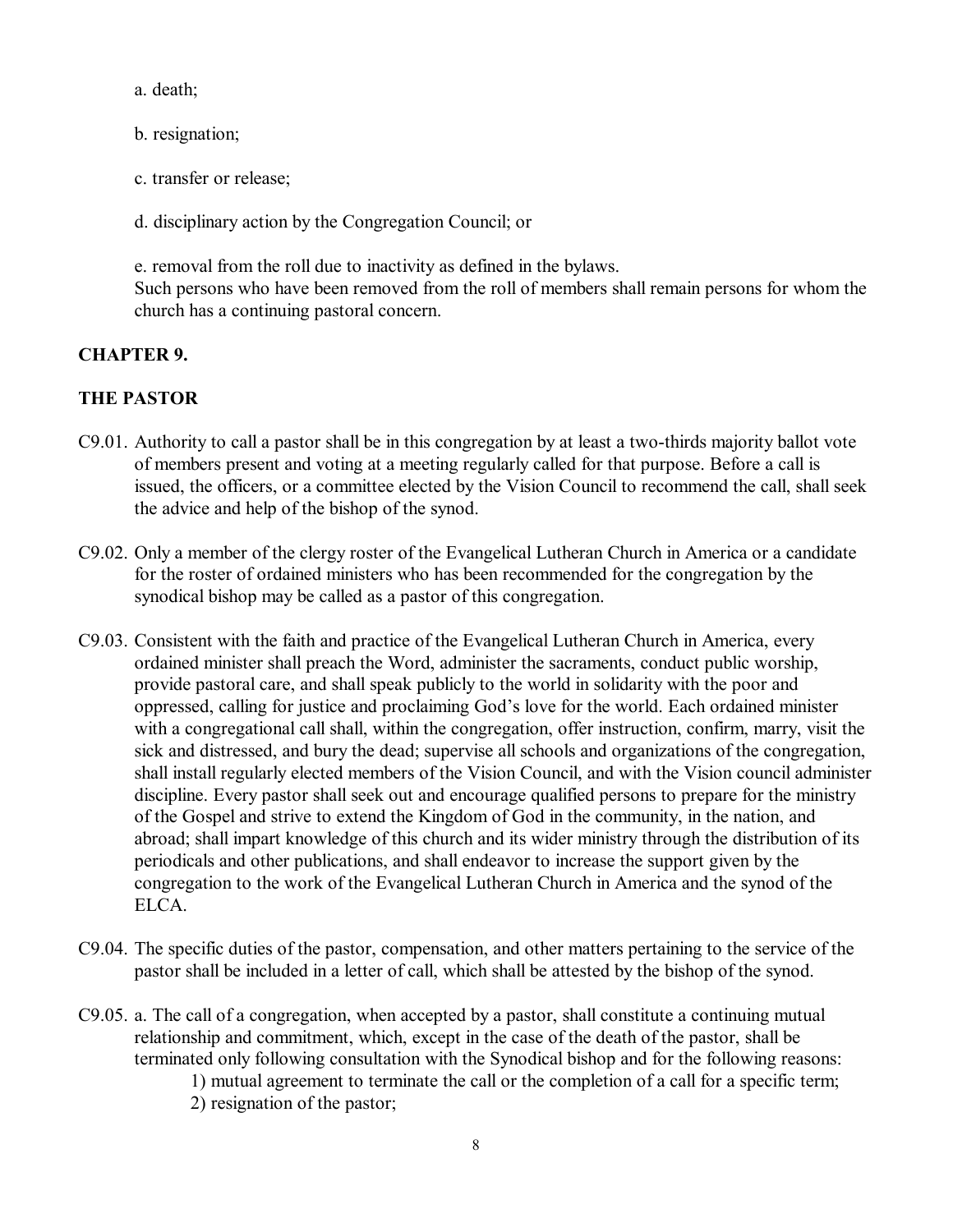a. death;

- b. resignation;
- c. transfer or release;
- d. disciplinary action by the Congregation Council; or

e. removal from the roll due to inactivity as defined in the bylaws. Such persons who have been removed from the roll of members shall remain persons for whom the church has a continuing pastoral concern.

## **CHAPTER 9.**

## **THE PASTOR**

- C9.01. Authority to call a pastor shall be in this congregation by at least a two-thirds majority ballot vote of members present and voting at a meeting regularly called for that purpose. Before a call is issued, the officers, or a committee elected by the Vision Council to recommend the call, shall seek the advice and help of the bishop of the synod.
- C9.02. Only a member of the clergy roster of the Evangelical Lutheran Church in America or a candidate for the roster of ordained ministers who has been recommended for the congregation by the synodical bishop may be called as a pastor of this congregation.
- C9.03. Consistent with the faith and practice of the Evangelical Lutheran Church in America, every ordained minister shall preach the Word, administer the sacraments, conduct public worship, provide pastoral care, and shall speak publicly to the world in solidarity with the poor and oppressed, calling for justice and proclaiming God's love for the world. Each ordained minister with a congregational call shall, within the congregation, offer instruction, confirm, marry, visit the sick and distressed, and bury the dead; supervise all schools and organizations of the congregation, shall install regularly elected members of the Vision Council, and with the Vision council administer discipline. Every pastor shall seek out and encourage qualified persons to prepare for the ministry of the Gospel and strive to extend the Kingdom of God in the community, in the nation, and abroad; shall impart knowledge of this church and its wider ministry through the distribution of its periodicals and other publications, and shall endeavor to increase the support given by the congregation to the work of the Evangelical Lutheran Church in America and the synod of the ELCA.
- C9.04. The specific duties of the pastor, compensation, and other matters pertaining to the service of the pastor shall be included in a letter of call, which shall be attested by the bishop of the synod.
- C9.05. a. The call of a congregation, when accepted by a pastor, shall constitute a continuing mutual relationship and commitment, which, except in the case of the death of the pastor, shall be terminated only following consultation with the Synodical bishop and for the following reasons: 1) mutual agreement to terminate the call or the completion of a call for a specific term; 2) resignation of the pastor;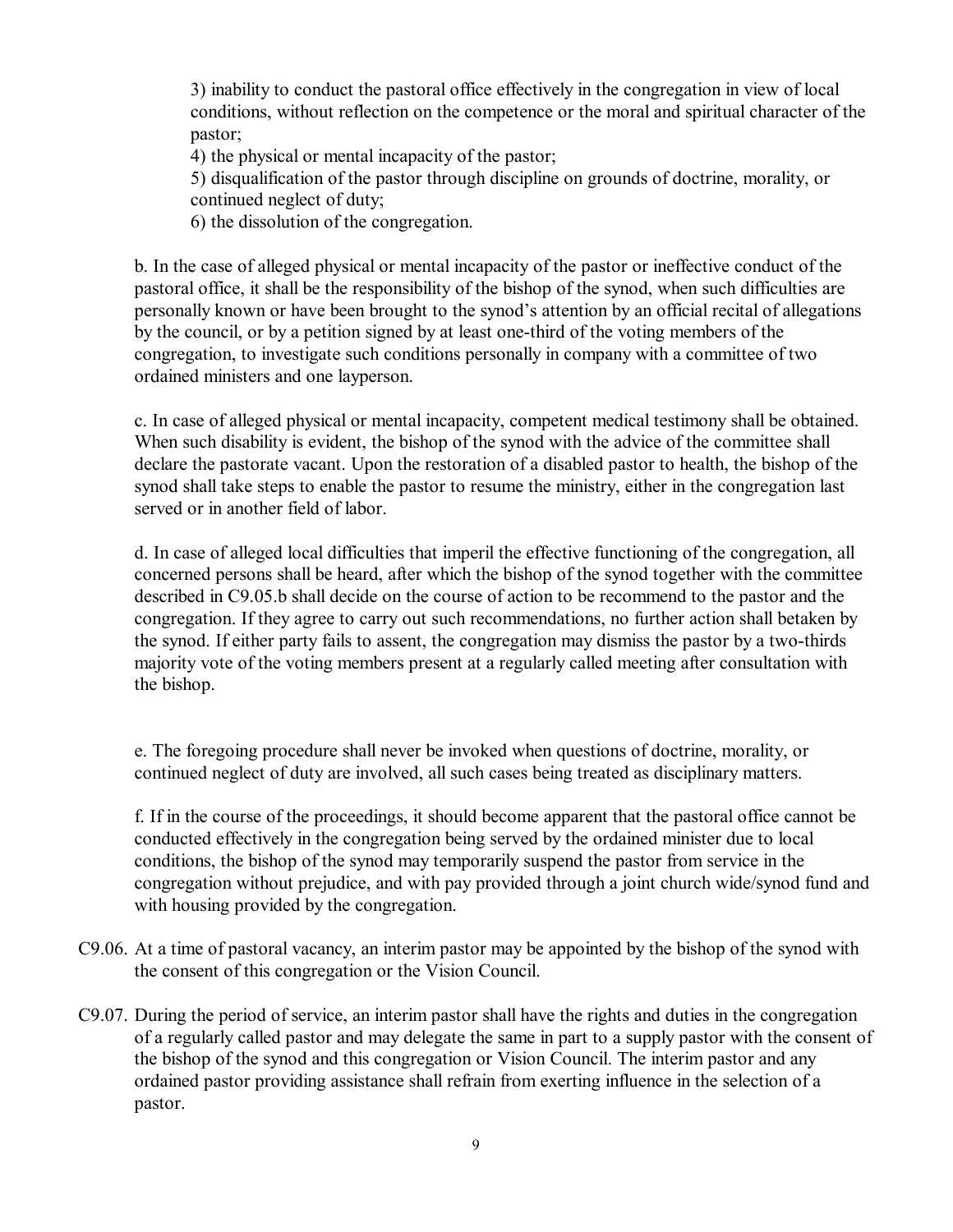3) inability to conduct the pastoral office effectively in the congregation in view of local conditions, without reflection on the competence or the moral and spiritual character of the pastor;

4) the physical or mental incapacity of the pastor;

5) disqualification of the pastor through discipline on grounds of doctrine, morality, or continued neglect of duty;

6) the dissolution of the congregation.

b. In the case of alleged physical or mental incapacity of the pastor or ineffective conduct of the pastoral office, it shall be the responsibility of the bishop of the synod, when such difficulties are personally known or have been brought to the synod's attention by an official recital of allegations by the council, or by a petition signed by at least one-third of the voting members of the congregation, to investigate such conditions personally in company with a committee of two ordained ministers and one layperson.

c. In case of alleged physical or mental incapacity, competent medical testimony shall be obtained. When such disability is evident, the bishop of the synod with the advice of the committee shall declare the pastorate vacant. Upon the restoration of a disabled pastor to health, the bishop of the synod shall take steps to enable the pastor to resume the ministry, either in the congregation last served or in another field of labor.

d. In case of alleged local difficulties that imperil the effective functioning of the congregation, all concerned persons shall be heard, after which the bishop of the synod together with the committee described in C9.05.b shall decide on the course of action to be recommend to the pastor and the congregation. If they agree to carry out such recommendations, no further action shall betaken by the synod. If either party fails to assent, the congregation may dismiss the pastor by a two-thirds majority vote of the voting members present at a regularly called meeting after consultation with the bishop.

e. The foregoing procedure shall never be invoked when questions of doctrine, morality, or continued neglect of duty are involved, all such cases being treated as disciplinary matters.

f. If in the course of the proceedings, it should become apparent that the pastoral office cannot be conducted effectively in the congregation being served by the ordained minister due to local conditions, the bishop of the synod may temporarily suspend the pastor from service in the congregation without prejudice, and with pay provided through a joint church wide/synod fund and with housing provided by the congregation.

- C9.06. At a time of pastoral vacancy, an interim pastor may be appointed by the bishop of the synod with the consent of this congregation or the Vision Council.
- C9.07. During the period of service, an interim pastor shall have the rights and duties in the congregation of a regularly called pastor and may delegate the same in part to a supply pastor with the consent of the bishop of the synod and this congregation or Vision Council. The interim pastor and any ordained pastor providing assistance shall refrain from exerting influence in the selection of a pastor.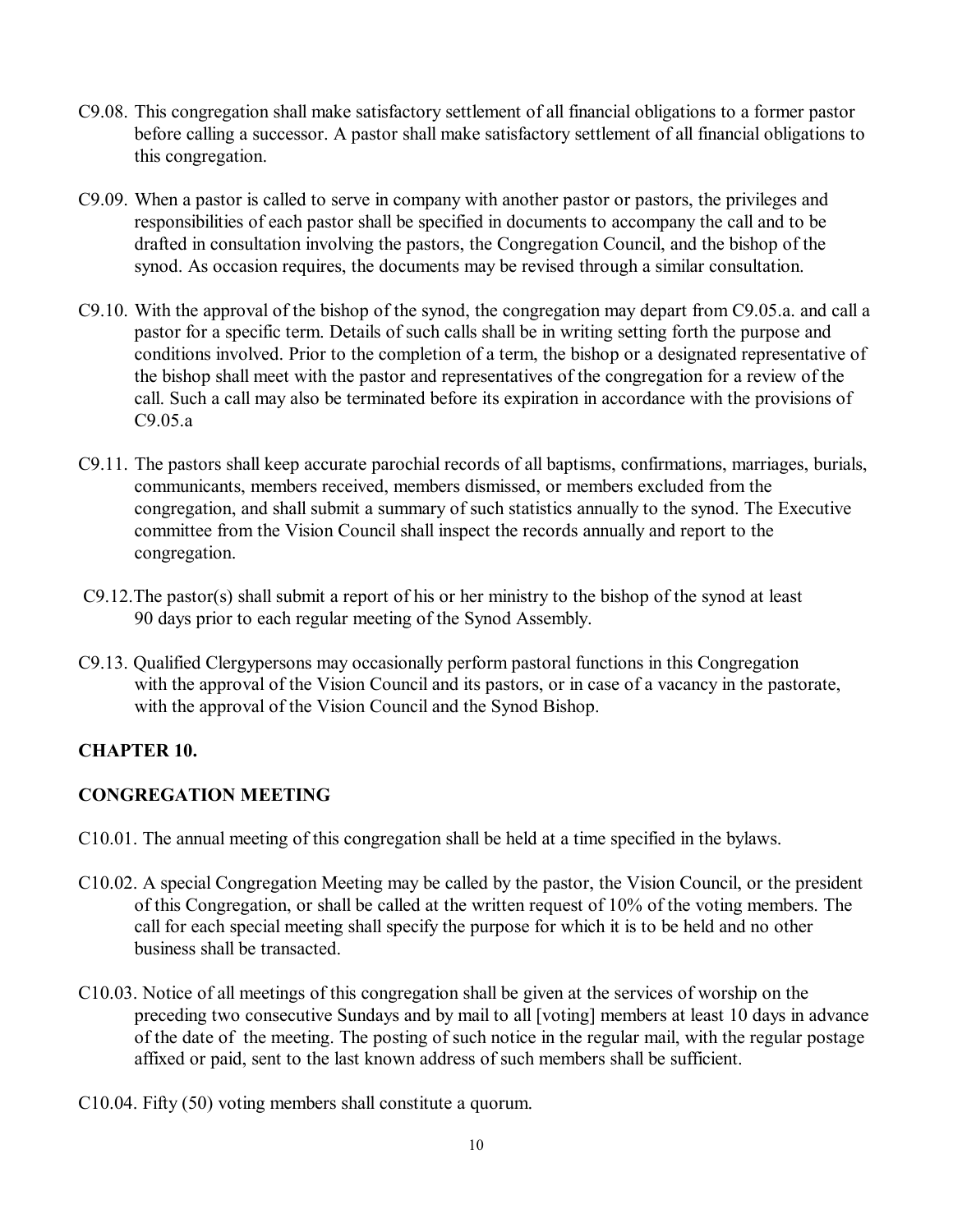- C9.08. This congregation shall make satisfactory settlement of all financial obligations to a former pastor before calling a successor. A pastor shall make satisfactory settlement of all financial obligations to this congregation.
- C9.09. When a pastor is called to serve in company with another pastor or pastors, the privileges and responsibilities of each pastor shall be specified in documents to accompany the call and to be drafted in consultation involving the pastors, the Congregation Council, and the bishop of the synod. As occasion requires, the documents may be revised through a similar consultation.
- C9.10. With the approval of the bishop of the synod, the congregation may depart from C9.05.a. and call a pastor for a specific term. Details of such calls shall be in writing setting forth the purpose and conditions involved. Prior to the completion of a term, the bishop or a designated representative of the bishop shall meet with the pastor and representatives of the congregation for a review of the call. Such a call may also be terminated before its expiration in accordance with the provisions of C9.05.a
- C9.11. The pastors shall keep accurate parochial records of all baptisms, confirmations, marriages, burials, communicants, members received, members dismissed, or members excluded from the congregation, and shall submit a summary of such statistics annually to the synod. The Executive committee from the Vision Council shall inspect the records annually and report to the congregation.
- C9.12.The pastor(s) shall submit a report of his or her ministry to the bishop of the synod at least 90 days prior to each regular meeting of the Synod Assembly.
- C9.13. Qualified Clergypersons may occasionally perform pastoral functions in this Congregation with the approval of the Vision Council and its pastors, or in case of a vacancy in the pastorate, with the approval of the Vision Council and the Synod Bishop.

# **CHAPTER 10.**

# **CONGREGATION MEETING**

- C10.01. The annual meeting of this congregation shall be held at a time specified in the bylaws.
- C10.02. A special Congregation Meeting may be called by the pastor, the Vision Council, or the president of this Congregation, or shall be called at the written request of 10% of the voting members. The call for each special meeting shall specify the purpose for which it is to be held and no other business shall be transacted.
- C10.03. Notice of all meetings of this congregation shall be given at the services of worship on the preceding two consecutive Sundays and by mail to all [voting] members at least 10 days in advance of the date of the meeting. The posting of such notice in the regular mail, with the regular postage affixed or paid, sent to the last known address of such members shall be sufficient.
- C10.04. Fifty (50) voting members shall constitute a quorum.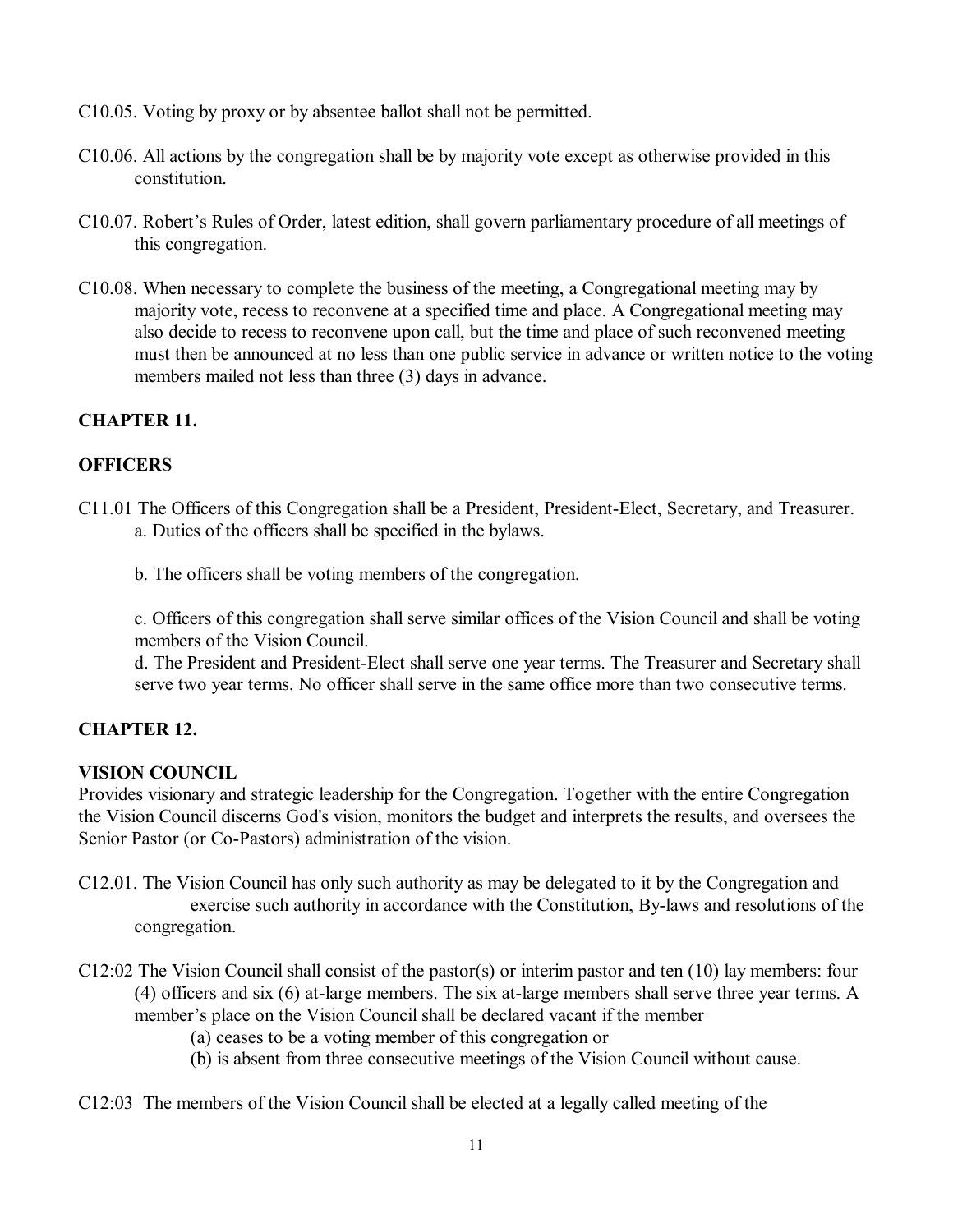- C10.05. Voting by proxy or by absentee ballot shall not be permitted.
- C10.06. All actions by the congregation shall be by majority vote except as otherwise provided in this constitution.
- C10.07. Robert's Rules of Order, latest edition, shall govern parliamentary procedure of all meetings of this congregation.
- C10.08. When necessary to complete the business of the meeting, a Congregational meeting may by majority vote, recess to reconvene at a specified time and place. A Congregational meeting may also decide to recess to reconvene upon call, but the time and place of such reconvened meeting must then be announced at no less than one public service in advance or written notice to the voting members mailed not less than three (3) days in advance.

## **CHAPTER 11.**

## **OFFICERS**

- C11.01 The Officers of this Congregation shall be a President, President-Elect, Secretary, and Treasurer. a. Duties of the officers shall be specified in the bylaws.
	- b. The officers shall be voting members of the congregation.

c. Officers of this congregation shall serve similar offices of the Vision Council and shall be voting members of the Vision Council.

d. The President and President-Elect shall serve one year terms. The Treasurer and Secretary shall serve two year terms. No officer shall serve in the same office more than two consecutive terms.

## **CHAPTER 12.**

## **VISION COUNCIL**

Provides visionary and strategic leadership for the Congregation. Together with the entire Congregation the Vision Council discerns God's vision, monitors the budget and interprets the results, and oversees the Senior Pastor (or Co-Pastors) administration of the vision.

- C12.01. The Vision Council has only such authority as may be delegated to it by the Congregation and exercise such authority in accordance with the Constitution, By-laws and resolutions of the congregation.
- C12:02 The Vision Council shall consist of the pastor(s) or interim pastor and ten (10) lay members: four (4) officers and six (6) at-large members. The six at-large members shall serve three year terms. A member's place on the Vision Council shall be declared vacant if the member
	- (a) ceases to be a voting member of this congregation or
	- (b) is absent from three consecutive meetings of the Vision Council without cause.
- C12:03 The members of the Vision Council shall be elected at a legally called meeting of the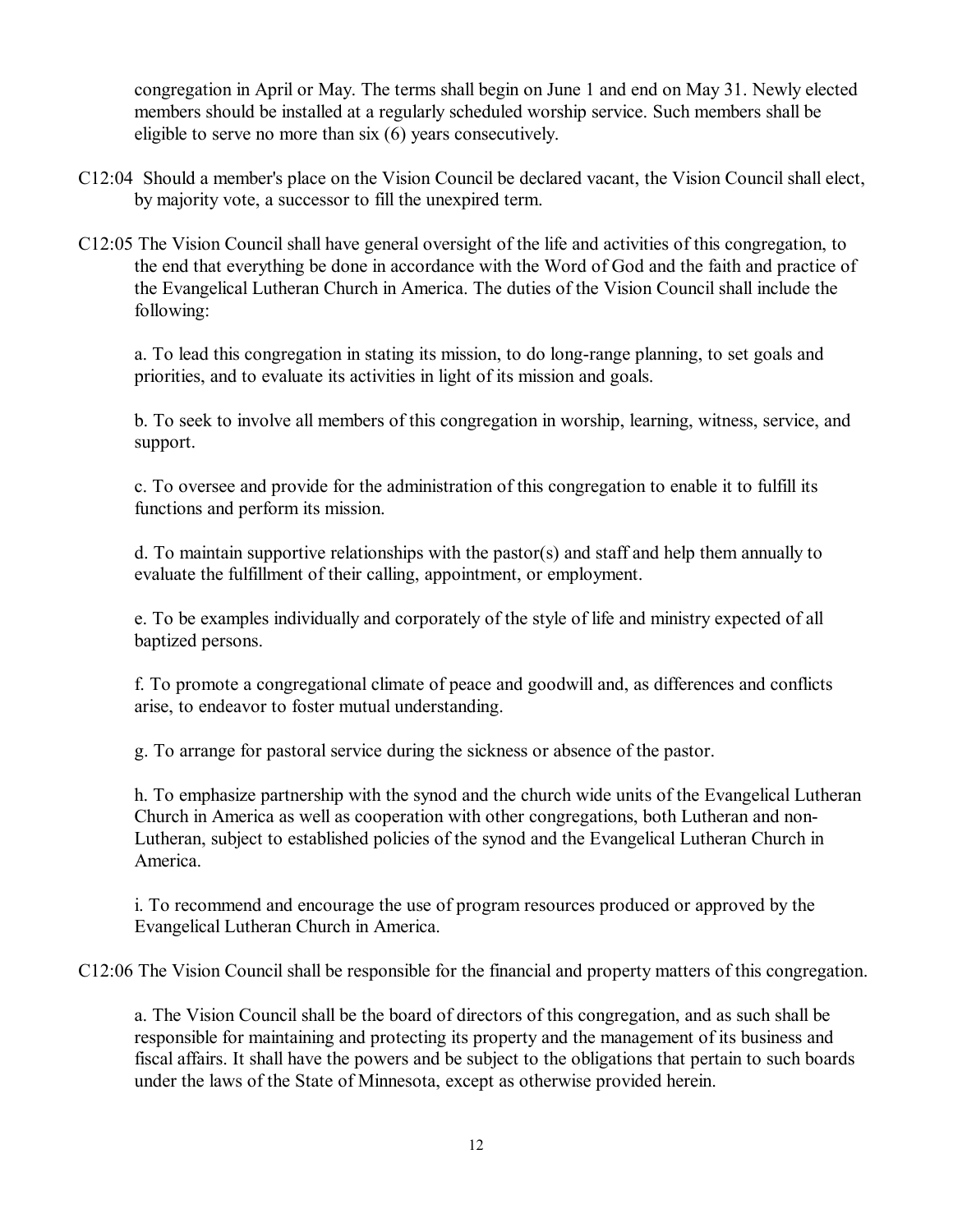congregation in April or May. The terms shall begin on June 1 and end on May 31. Newly elected members should be installed at a regularly scheduled worship service. Such members shall be eligible to serve no more than six (6) years consecutively.

- C12:04 Should a member's place on the Vision Council be declared vacant, the Vision Council shall elect, by majority vote, a successor to fill the unexpired term.
- C12:05 The Vision Council shall have general oversight of the life and activities of this congregation, to the end that everything be done in accordance with the Word of God and the faith and practice of the Evangelical Lutheran Church in America. The duties of the Vision Council shall include the following:

a. To lead this congregation in stating its mission, to do long-range planning, to set goals and priorities, and to evaluate its activities in light of its mission and goals.

b. To seek to involve all members of this congregation in worship, learning, witness, service, and support.

c. To oversee and provide for the administration of this congregation to enable it to fulfill its functions and perform its mission.

d. To maintain supportive relationships with the pastor(s) and staff and help them annually to evaluate the fulfillment of their calling, appointment, or employment.

e. To be examples individually and corporately of the style of life and ministry expected of all baptized persons.

f. To promote a congregational climate of peace and goodwill and, as differences and conflicts arise, to endeavor to foster mutual understanding.

g. To arrange for pastoral service during the sickness or absence of the pastor.

h. To emphasize partnership with the synod and the church wide units of the Evangelical Lutheran Church in America as well as cooperation with other congregations, both Lutheran and non-Lutheran, subject to established policies of the synod and the Evangelical Lutheran Church in America.

i. To recommend and encourage the use of program resources produced or approved by the Evangelical Lutheran Church in America.

C12:06 The Vision Council shall be responsible for the financial and property matters of this congregation.

a. The Vision Council shall be the board of directors of this congregation, and as such shall be responsible for maintaining and protecting its property and the management of its business and fiscal affairs. It shall have the powers and be subject to the obligations that pertain to such boards under the laws of the State of Minnesota, except as otherwise provided herein.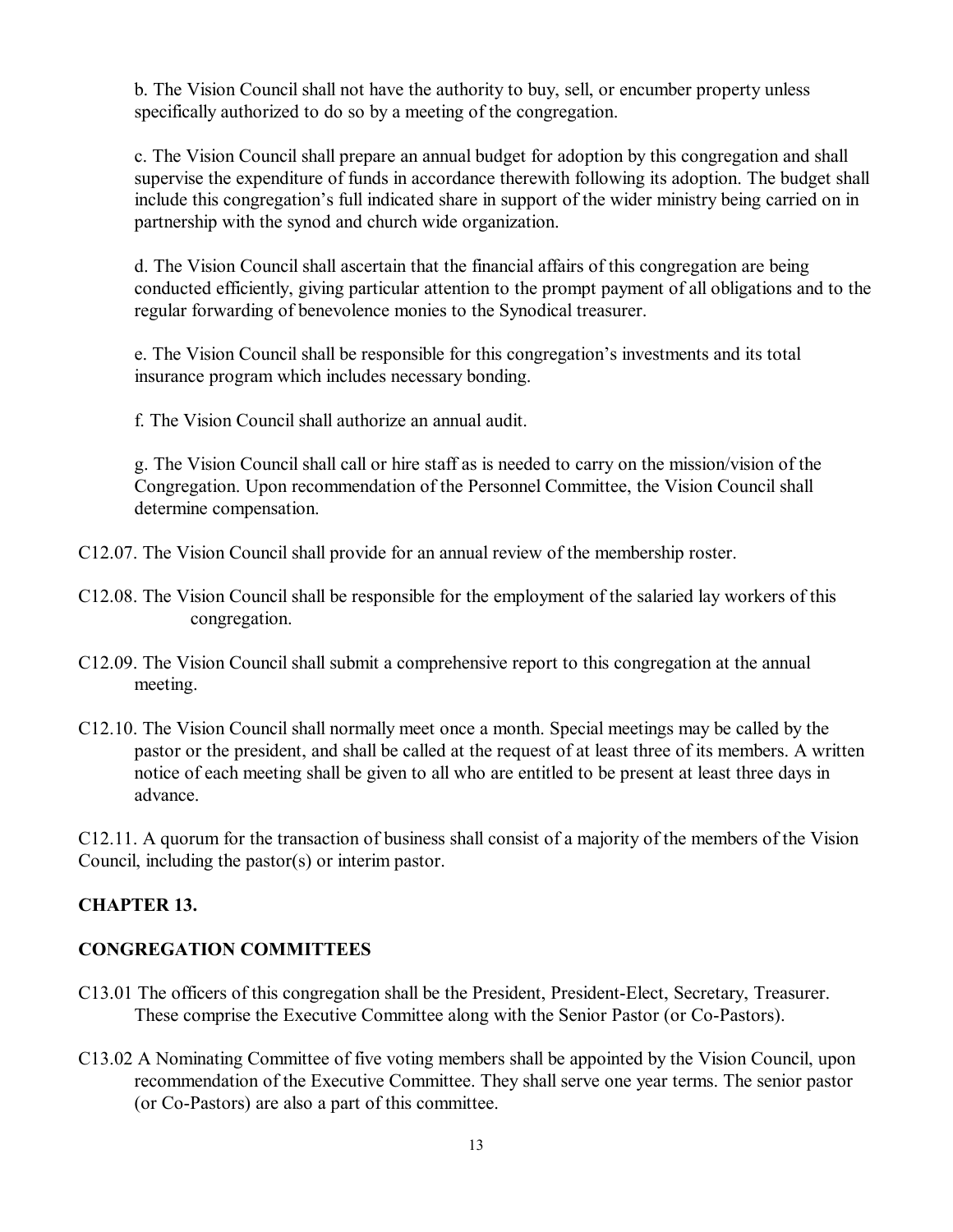b. The Vision Council shall not have the authority to buy, sell, or encumber property unless specifically authorized to do so by a meeting of the congregation.

c. The Vision Council shall prepare an annual budget for adoption by this congregation and shall supervise the expenditure of funds in accordance therewith following its adoption. The budget shall include this congregation's full indicated share in support of the wider ministry being carried on in partnership with the synod and church wide organization.

d. The Vision Council shall ascertain that the financial affairs of this congregation are being conducted efficiently, giving particular attention to the prompt payment of all obligations and to the regular forwarding of benevolence monies to the Synodical treasurer.

e. The Vision Council shall be responsible for this congregation's investments and its total insurance program which includes necessary bonding.

f. The Vision Council shall authorize an annual audit.

g. The Vision Council shall call or hire staff as is needed to carry on the mission/vision of the Congregation. Upon recommendation of the Personnel Committee, the Vision Council shall determine compensation.

C12.07. The Vision Council shall provide for an annual review of the membership roster.

- C12.08. The Vision Council shall be responsible for the employment of the salaried lay workers of this congregation.
- C12.09. The Vision Council shall submit a comprehensive report to this congregation at the annual meeting.
- C12.10. The Vision Council shall normally meet once a month. Special meetings may be called by the pastor or the president, and shall be called at the request of at least three of its members. A written notice of each meeting shall be given to all who are entitled to be present at least three days in advance.

C12.11. A quorum for the transaction of business shall consist of a majority of the members of the Vision Council, including the pastor(s) or interim pastor.

## **CHAPTER 13.**

## **CONGREGATION COMMITTEES**

- C13.01 The officers of this congregation shall be the President, President-Elect, Secretary, Treasurer. These comprise the Executive Committee along with the Senior Pastor (or Co-Pastors).
- C13.02 A Nominating Committee of five voting members shall be appointed by the Vision Council, upon recommendation of the Executive Committee. They shall serve one year terms. The senior pastor (or Co-Pastors) are also a part of this committee.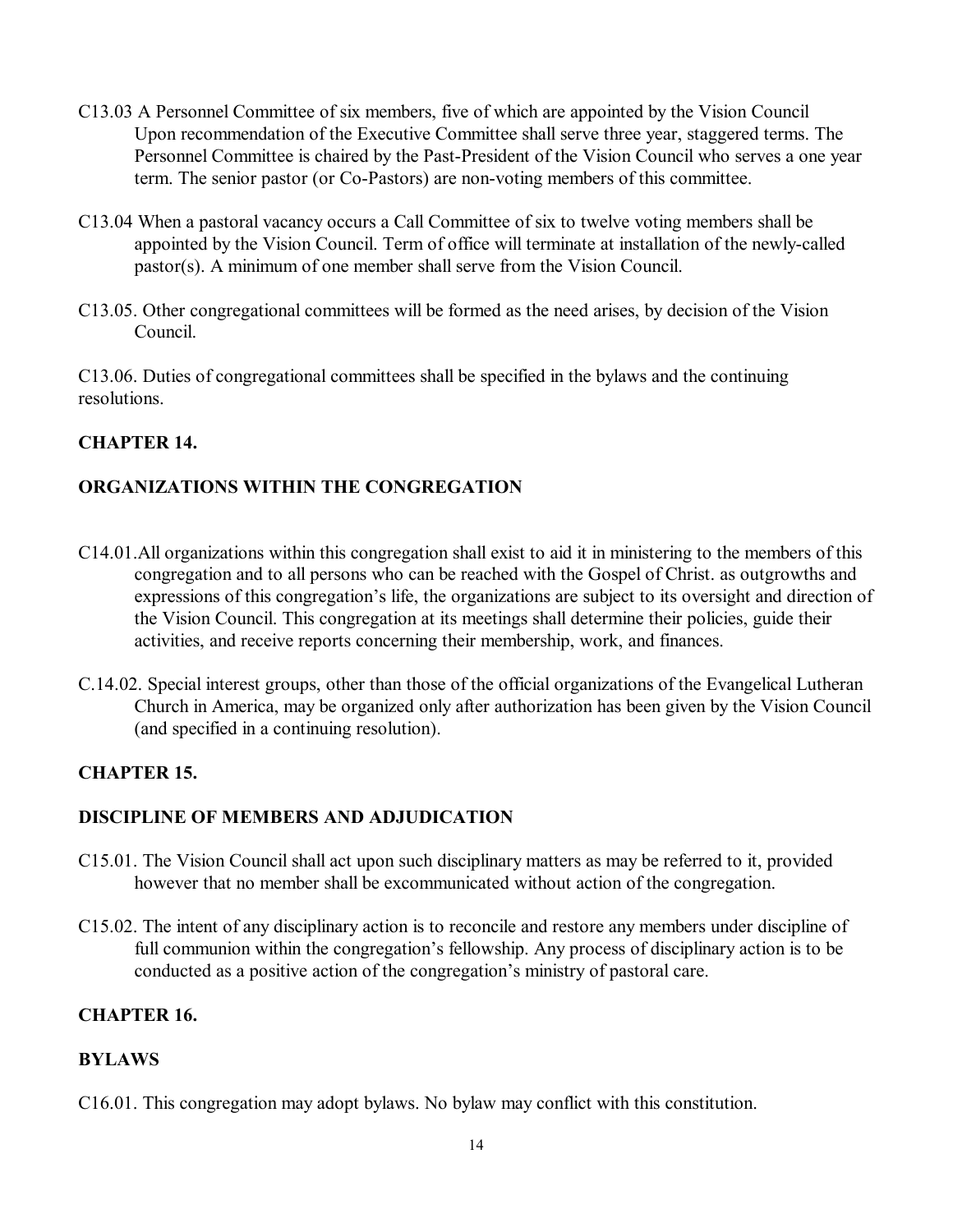- C13.03 A Personnel Committee of six members, five of which are appointed by the Vision Council Upon recommendation of the Executive Committee shall serve three year, staggered terms. The Personnel Committee is chaired by the Past-President of the Vision Council who serves a one year term. The senior pastor (or Co-Pastors) are non-voting members of this committee.
- C13.04 When a pastoral vacancy occurs a Call Committee of six to twelve voting members shall be appointed by the Vision Council. Term of office will terminate at installation of the newly-called pastor(s). A minimum of one member shall serve from the Vision Council.
- C13.05. Other congregational committees will be formed as the need arises, by decision of the Vision Council.

C13.06. Duties of congregational committees shall be specified in the bylaws and the continuing resolutions.

## **CHAPTER 14.**

## **ORGANIZATIONS WITHIN THE CONGREGATION**

- C14.01.All organizations within this congregation shall exist to aid it in ministering to the members of this congregation and to all persons who can be reached with the Gospel of Christ. as outgrowths and expressions of this congregation's life, the organizations are subject to its oversight and direction of the Vision Council. This congregation at its meetings shall determine their policies, guide their activities, and receive reports concerning their membership, work, and finances.
- C.14.02. Special interest groups, other than those of the official organizations of the Evangelical Lutheran Church in America, may be organized only after authorization has been given by the Vision Council (and specified in a continuing resolution).

## **CHAPTER 15.**

# **DISCIPLINE OF MEMBERS AND ADJUDICATION**

- C15.01. The Vision Council shall act upon such disciplinary matters as may be referred to it, provided however that no member shall be excommunicated without action of the congregation.
- C15.02. The intent of any disciplinary action is to reconcile and restore any members under discipline of full communion within the congregation's fellowship. Any process of disciplinary action is to be conducted as a positive action of the congregation's ministry of pastoral care.

## **CHAPTER 16.**

## **BYLAWS**

C16.01. This congregation may adopt bylaws. No bylaw may conflict with this constitution.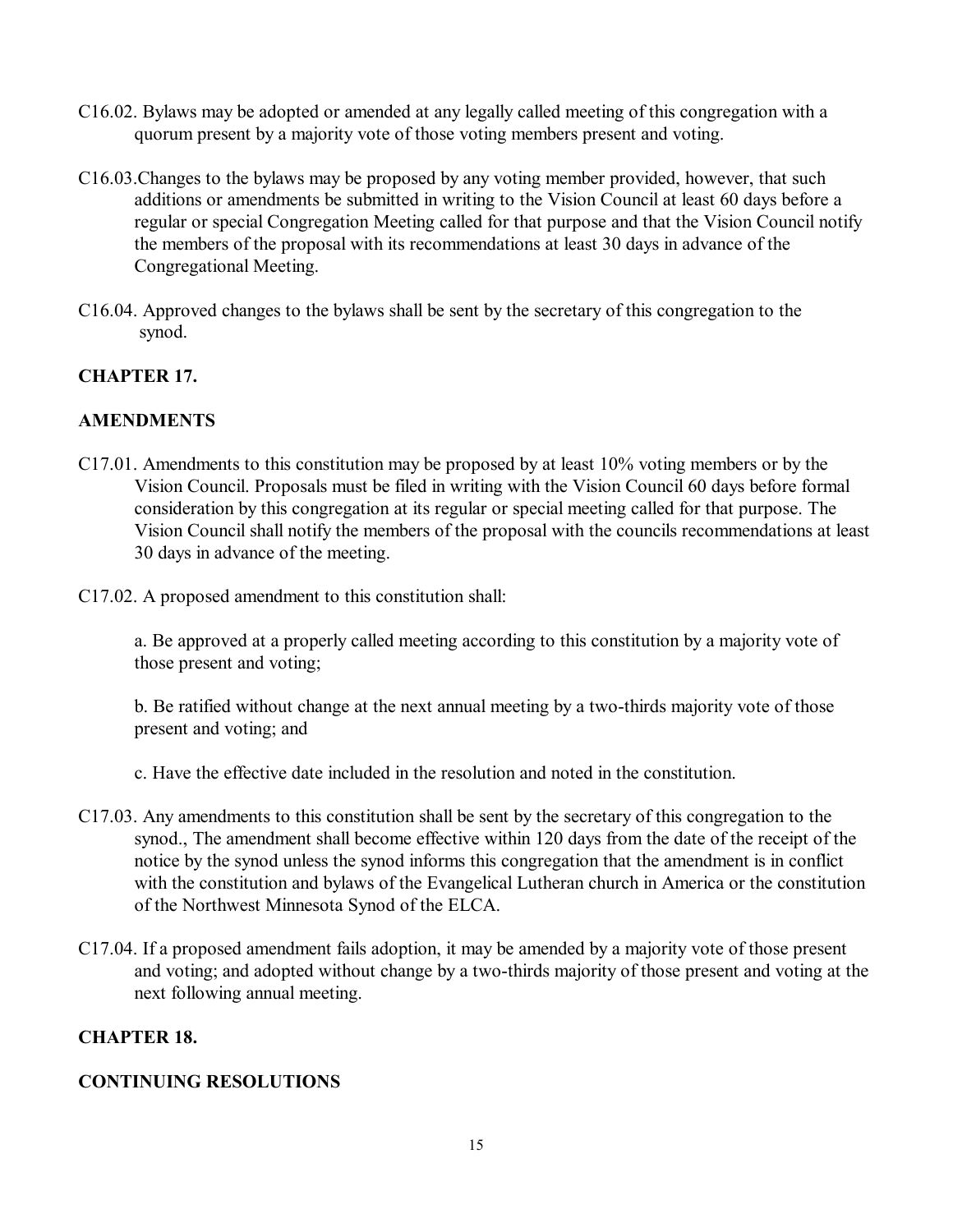- C16.02. Bylaws may be adopted or amended at any legally called meeting of this congregation with a quorum present by a majority vote of those voting members present and voting.
- C16.03.Changes to the bylaws may be proposed by any voting member provided, however, that such additions or amendments be submitted in writing to the Vision Council at least 60 days before a regular or special Congregation Meeting called for that purpose and that the Vision Council notify the members of the proposal with its recommendations at least 30 days in advance of the Congregational Meeting.
- C16.04. Approved changes to the bylaws shall be sent by the secretary of this congregation to the synod.

## **CHAPTER 17.**

## **AMENDMENTS**

- C17.01. Amendments to this constitution may be proposed by at least 10% voting members or by the Vision Council. Proposals must be filed in writing with the Vision Council 60 days before formal consideration by this congregation at its regular or special meeting called for that purpose. The Vision Council shall notify the members of the proposal with the councils recommendations at least 30 days in advance of the meeting.
- C17.02. A proposed amendment to this constitution shall:

a. Be approved at a properly called meeting according to this constitution by a majority vote of those present and voting;

b. Be ratified without change at the next annual meeting by a two-thirds majority vote of those present and voting; and

c. Have the effective date included in the resolution and noted in the constitution.

- C17.03. Any amendments to this constitution shall be sent by the secretary of this congregation to the synod., The amendment shall become effective within 120 days from the date of the receipt of the notice by the synod unless the synod informs this congregation that the amendment is in conflict with the constitution and bylaws of the Evangelical Lutheran church in America or the constitution of the Northwest Minnesota Synod of the ELCA.
- C17.04. If a proposed amendment fails adoption, it may be amended by a majority vote of those present and voting; and adopted without change by a two-thirds majority of those present and voting at the next following annual meeting.

#### **CHAPTER 18.**

#### **CONTINUING RESOLUTIONS**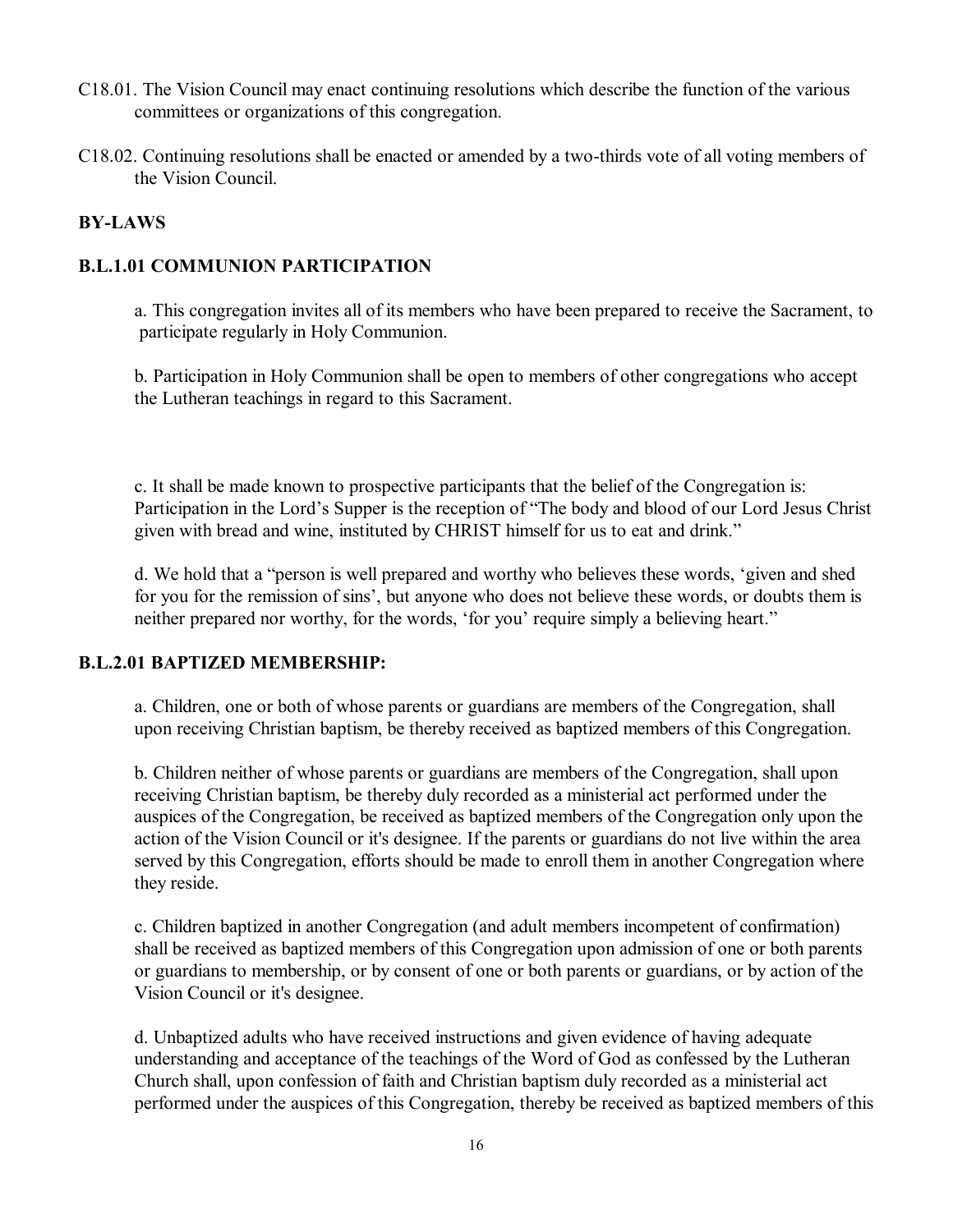- C18.01. The Vision Council may enact continuing resolutions which describe the function of the various committees or organizations of this congregation.
- C18.02. Continuing resolutions shall be enacted or amended by a two-thirds vote of all voting members of the Vision Council.

## **BY-LAWS**

#### **B.L.1.01 COMMUNION PARTICIPATION**

a. This congregation invites all of its members who have been prepared to receive the Sacrament, to participate regularly in Holy Communion.

b. Participation in Holy Communion shall be open to members of other congregations who accept the Lutheran teachings in regard to this Sacrament.

c. It shall be made known to prospective participants that the belief of the Congregation is: Participation in the Lord's Supper is the reception of "The body and blood of our Lord Jesus Christ given with bread and wine, instituted by CHRIST himself for us to eat and drink."

d. We hold that a "person is well prepared and worthy who believes these words, 'given and shed for you for the remission of sins', but anyone who does not believe these words, or doubts them is neither prepared nor worthy, for the words, 'for you' require simply a believing heart."

#### **B.L.2.01 BAPTIZED MEMBERSHIP:**

a. Children, one or both of whose parents or guardians are members of the Congregation, shall upon receiving Christian baptism, be thereby received as baptized members of this Congregation.

b. Children neither of whose parents or guardians are members of the Congregation, shall upon receiving Christian baptism, be thereby duly recorded as a ministerial act performed under the auspices of the Congregation, be received as baptized members of the Congregation only upon the action of the Vision Council or it's designee. If the parents or guardians do not live within the area served by this Congregation, efforts should be made to enroll them in another Congregation where they reside.

c. Children baptized in another Congregation (and adult members incompetent of confirmation) shall be received as baptized members of this Congregation upon admission of one or both parents or guardians to membership, or by consent of one or both parents or guardians, or by action of the Vision Council or it's designee.

d. Unbaptized adults who have received instructions and given evidence of having adequate understanding and acceptance of the teachings of the Word of God as confessed by the Lutheran Church shall, upon confession of faith and Christian baptism duly recorded as a ministerial act performed under the auspices of this Congregation, thereby be received as baptized members of this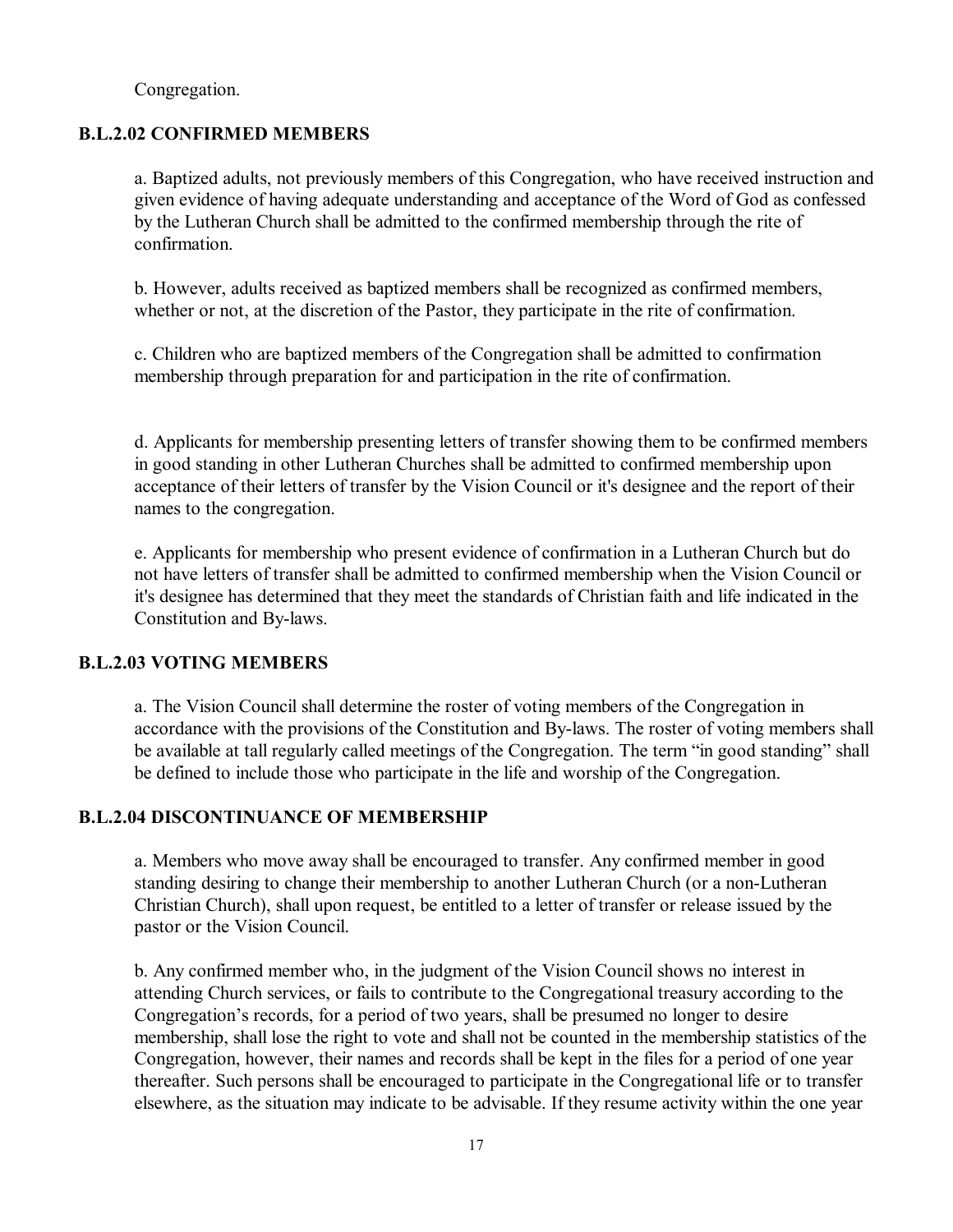Congregation.

#### **B.L.2.02 CONFIRMED MEMBERS**

a. Baptized adults, not previously members of this Congregation, who have received instruction and given evidence of having adequate understanding and acceptance of the Word of God as confessed by the Lutheran Church shall be admitted to the confirmed membership through the rite of confirmation.

b. However, adults received as baptized members shall be recognized as confirmed members, whether or not, at the discretion of the Pastor, they participate in the rite of confirmation.

c. Children who are baptized members of the Congregation shall be admitted to confirmation membership through preparation for and participation in the rite of confirmation.

d. Applicants for membership presenting letters of transfer showing them to be confirmed members in good standing in other Lutheran Churches shall be admitted to confirmed membership upon acceptance of their letters of transfer by the Vision Council or it's designee and the report of their names to the congregation.

e. Applicants for membership who present evidence of confirmation in a Lutheran Church but do not have letters of transfer shall be admitted to confirmed membership when the Vision Council or it's designee has determined that they meet the standards of Christian faith and life indicated in the Constitution and By-laws.

#### **B.L.2.03 VOTING MEMBERS**

a. The Vision Council shall determine the roster of voting members of the Congregation in accordance with the provisions of the Constitution and By-laws. The roster of voting members shall be available at tall regularly called meetings of the Congregation. The term "in good standing" shall be defined to include those who participate in the life and worship of the Congregation.

#### **B.L.2.04 DISCONTINUANCE OF MEMBERSHIP**

a. Members who move away shall be encouraged to transfer. Any confirmed member in good standing desiring to change their membership to another Lutheran Church (or a non-Lutheran Christian Church), shall upon request, be entitled to a letter of transfer or release issued by the pastor or the Vision Council.

b. Any confirmed member who, in the judgment of the Vision Council shows no interest in attending Church services, or fails to contribute to the Congregational treasury according to the Congregation's records, for a period of two years, shall be presumed no longer to desire membership, shall lose the right to vote and shall not be counted in the membership statistics of the Congregation, however, their names and records shall be kept in the files for a period of one year thereafter. Such persons shall be encouraged to participate in the Congregational life or to transfer elsewhere, as the situation may indicate to be advisable. If they resume activity within the one year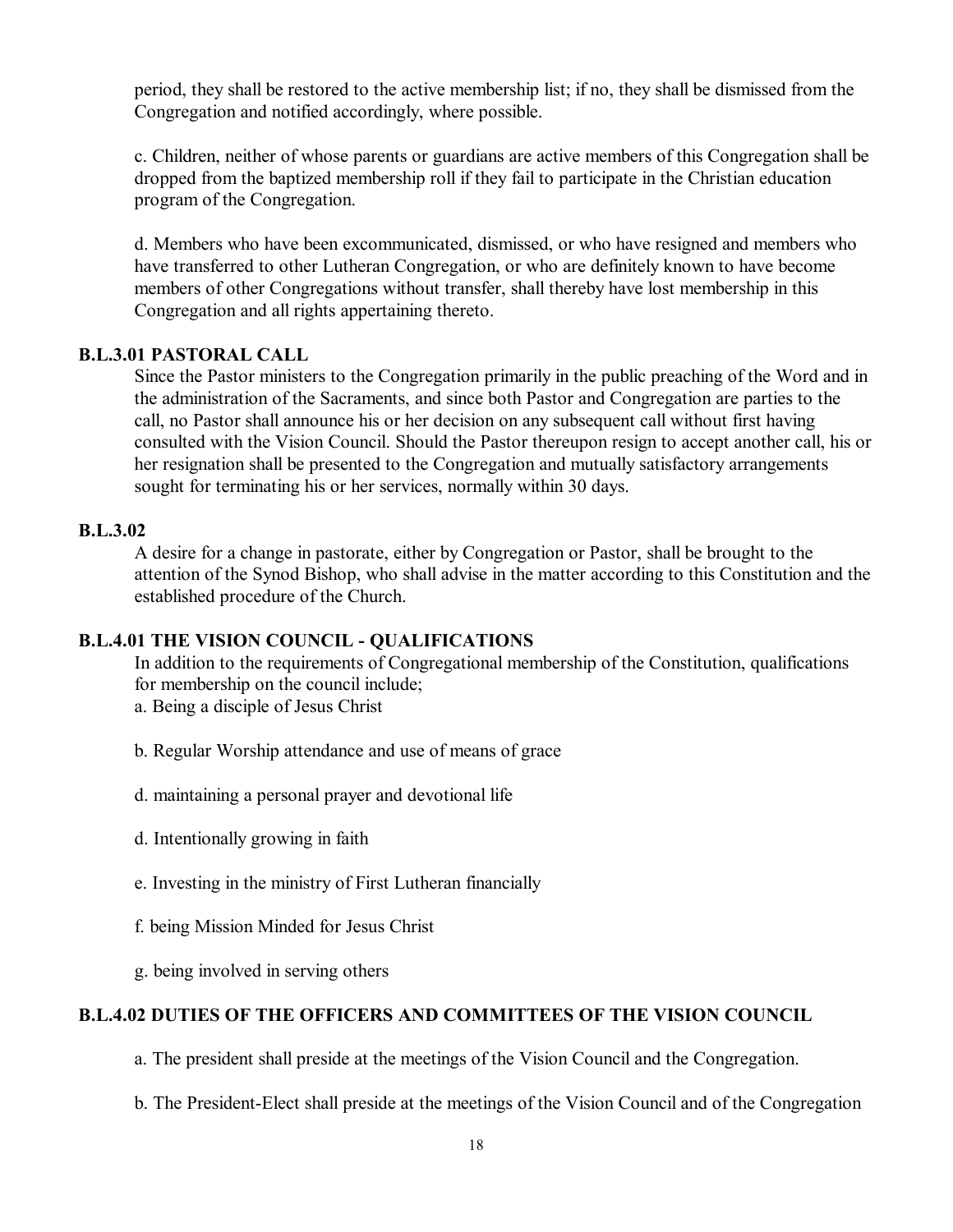period, they shall be restored to the active membership list; if no, they shall be dismissed from the Congregation and notified accordingly, where possible.

c. Children, neither of whose parents or guardians are active members of this Congregation shall be dropped from the baptized membership roll if they fail to participate in the Christian education program of the Congregation.

d. Members who have been excommunicated, dismissed, or who have resigned and members who have transferred to other Lutheran Congregation, or who are definitely known to have become members of other Congregations without transfer, shall thereby have lost membership in this Congregation and all rights appertaining thereto.

#### **B.L.3.01 PASTORAL CALL**

Since the Pastor ministers to the Congregation primarily in the public preaching of the Word and in the administration of the Sacraments, and since both Pastor and Congregation are parties to the call, no Pastor shall announce his or her decision on any subsequent call without first having consulted with the Vision Council. Should the Pastor thereupon resign to accept another call, his or her resignation shall be presented to the Congregation and mutually satisfactory arrangements sought for terminating his or her services, normally within 30 days.

#### **B.L.3.02**

A desire for a change in pastorate, either by Congregation or Pastor, shall be brought to the attention of the Synod Bishop, who shall advise in the matter according to this Constitution and the established procedure of the Church.

#### **B.L.4.01 THE VISION COUNCIL - QUALIFICATIONS**

In addition to the requirements of Congregational membership of the Constitution, qualifications for membership on the council include;

a. Being a disciple of Jesus Christ

- b. Regular Worship attendance and use of means of grace
- d. maintaining a personal prayer and devotional life
- d. Intentionally growing in faith
- e. Investing in the ministry of First Lutheran financially
- f. being Mission Minded for Jesus Christ
- g. being involved in serving others

#### **B.L.4.02 DUTIES OF THE OFFICERS AND COMMITTEES OF THE VISION COUNCIL**

a. The president shall preside at the meetings of the Vision Council and the Congregation.

b. The President-Elect shall preside at the meetings of the Vision Council and of the Congregation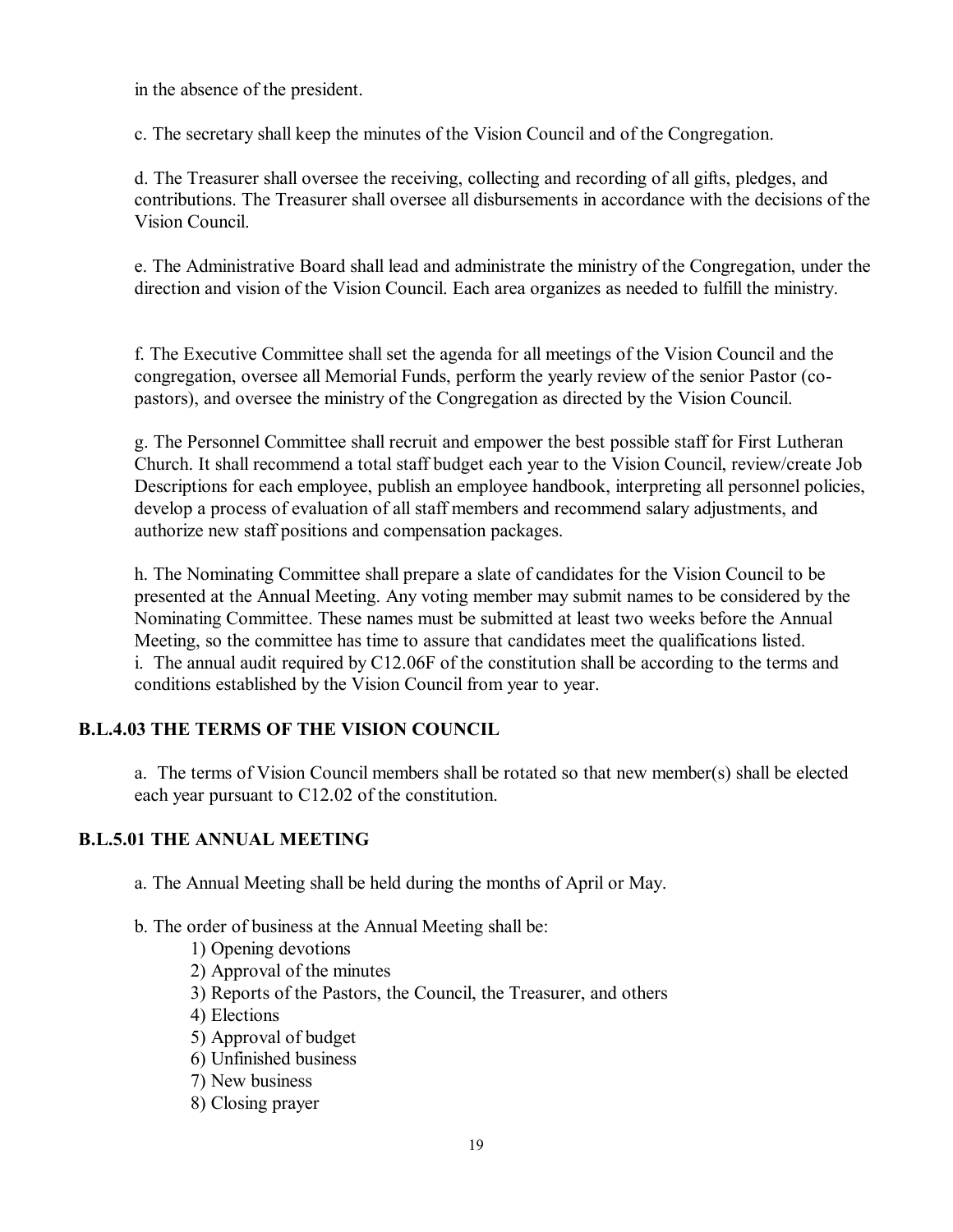in the absence of the president.

c. The secretary shall keep the minutes of the Vision Council and of the Congregation.

d. The Treasurer shall oversee the receiving, collecting and recording of all gifts, pledges, and contributions. The Treasurer shall oversee all disbursements in accordance with the decisions of the Vision Council.

e. The Administrative Board shall lead and administrate the ministry of the Congregation, under the direction and vision of the Vision Council. Each area organizes as needed to fulfill the ministry.

f. The Executive Committee shall set the agenda for all meetings of the Vision Council and the congregation, oversee all Memorial Funds, perform the yearly review of the senior Pastor (copastors), and oversee the ministry of the Congregation as directed by the Vision Council.

g. The Personnel Committee shall recruit and empower the best possible staff for First Lutheran Church. It shall recommend a total staff budget each year to the Vision Council, review/create Job Descriptions for each employee, publish an employee handbook, interpreting all personnel policies, develop a process of evaluation of all staff members and recommend salary adjustments, and authorize new staff positions and compensation packages.

h. The Nominating Committee shall prepare a slate of candidates for the Vision Council to be presented at the Annual Meeting. Any voting member may submit names to be considered by the Nominating Committee. These names must be submitted at least two weeks before the Annual Meeting, so the committee has time to assure that candidates meet the qualifications listed. i. The annual audit required by C12.06F of the constitution shall be according to the terms and conditions established by the Vision Council from year to year.

## **B.L.4.03 THE TERMS OF THE VISION COUNCIL**

a. The terms of Vision Council members shall be rotated so that new member(s) shall be elected each year pursuant to C12.02 of the constitution.

## **B.L.5.01 THE ANNUAL MEETING**

a. The Annual Meeting shall be held during the months of April or May.

#### b. The order of business at the Annual Meeting shall be:

- 1) Opening devotions
- 2) Approval of the minutes
- 3) Reports of the Pastors, the Council, the Treasurer, and others
- 4) Elections
- 5) Approval of budget
- 6) Unfinished business
- 7) New business
- 8) Closing prayer